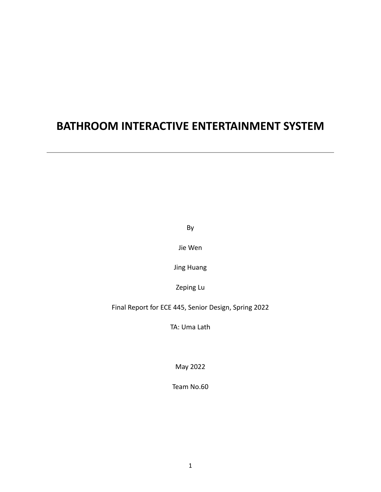# **BATHROOM INTERACTIVE ENTERTAINMENT SYSTEM**

By

Jie Wen

Jing Huang

Zeping Lu

Final Report for ECE 445, Senior Design, Spring 2022

TA: Uma Lath

May 2022

Team No.60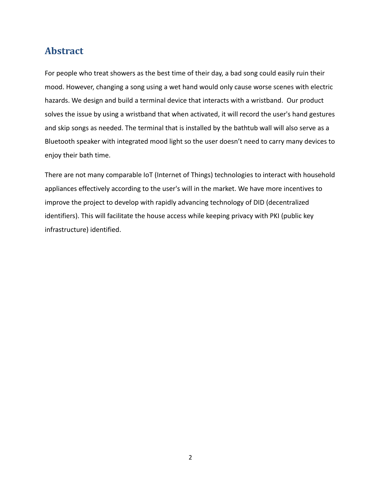# **Abstract**

For people who treat showers as the best time of their day, a bad song could easily ruin their mood. However, changing a song using a wet hand would only cause worse scenes with electric hazards. We design and build a terminal device that interacts with a wristband. Our product solves the issue by using a wristband that when activated, it will record the user's hand gestures and skip songs as needed. The terminal that is installed by the bathtub wall will also serve as a Bluetooth speaker with integrated mood light so the user doesn't need to carry many devices to enjoy their bath time.

There are not many comparable IoT (Internet of Things) technologies to interact with household appliances effectively according to the user's will in the market. We have more incentives to improve the project to develop with rapidly advancing technology of DID (decentralized identifiers). This will facilitate the house access while keeping privacy with PKI (public key infrastructure) identified.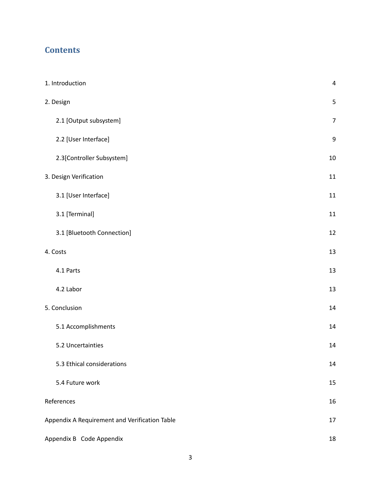# **Contents**

| 1. Introduction                               | $\overline{4}$   |  |  |
|-----------------------------------------------|------------------|--|--|
| 2. Design                                     | 5                |  |  |
| 2.1 [Output subsystem]                        | $\overline{7}$   |  |  |
| 2.2 [User Interface]                          | $\boldsymbol{9}$ |  |  |
| 2.3[Controller Subsystem]                     | $10\,$           |  |  |
| 3. Design Verification                        | 11               |  |  |
| 3.1 [User Interface]                          | 11               |  |  |
| 3.1 [Terminal]                                | $11\,$           |  |  |
| 3.1 [Bluetooth Connection]                    | 12               |  |  |
| 4. Costs                                      | 13               |  |  |
| 4.1 Parts                                     | 13               |  |  |
| 4.2 Labor                                     | 13               |  |  |
| 5. Conclusion                                 | 14               |  |  |
| 5.1 Accomplishments                           | 14               |  |  |
| 5.2 Uncertainties                             | 14               |  |  |
| 5.3 Ethical considerations                    | 14               |  |  |
| 5.4 Future work                               | 15               |  |  |
| References                                    | 16               |  |  |
| Appendix A Requirement and Verification Table | 17               |  |  |
| Appendix B Code Appendix                      |                  |  |  |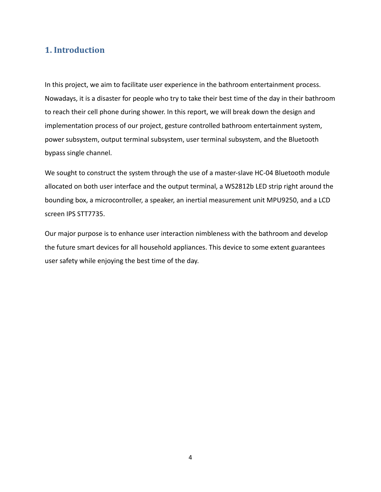# <span id="page-3-0"></span>**1. Introduction**

In this project, we aim to facilitate user experience in the bathroom entertainment process. Nowadays, it is a disaster for people who try to take their best time of the day in their bathroom to reach their cell phone during shower. In this report, we will break down the design and implementation process of our project, gesture controlled bathroom entertainment system, power subsystem, output terminal subsystem, user terminal subsystem, and the Bluetooth bypass single channel.

We sought to construct the system through the use of a master-slave HC-04 Bluetooth module allocated on both user interface and the output terminal, a WS2812b LED strip right around the bounding box, a microcontroller, a speaker, an inertial measurement unit MPU9250, and a LCD screen IPS STT7735.

Our major purpose is to enhance user interaction nimbleness with the bathroom and develop the future smart devices for all household appliances. This device to some extent guarantees user safety while enjoying the best time of the day.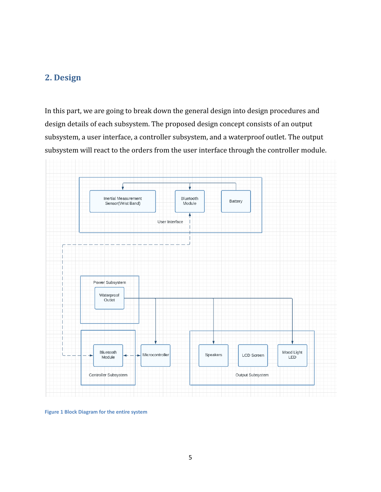# <span id="page-4-0"></span>**2. Design**

In this part, we are going to break down the general design into design procedures and design details of each subsystem. The proposed design concept consists of an output subsystem, a user interface, a controller subsystem, and a waterproof outlet. The output subsystem will react to the orders from the user interface through the controller module.



**Figure 1 Block Diagram for the entire system**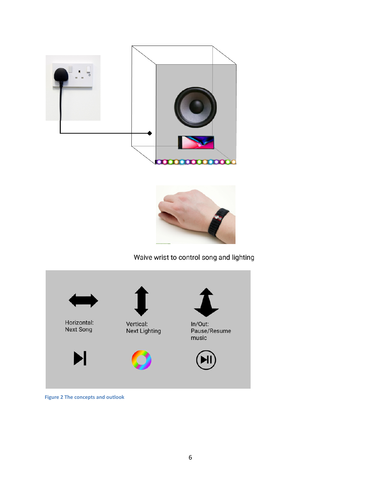



# Waive wrist to control song and lighting



#### **Figure 2 The concepts and outlook**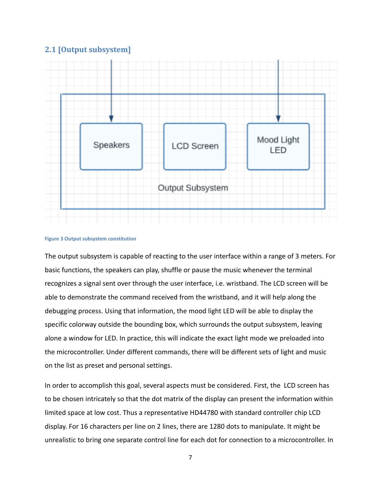## <span id="page-6-0"></span>**2.1 [Output subsystem]**



#### **Figure 3 Output subsystem constitution**

The output subsystem is capable of reacting to the user interface within a range of 3 meters. For basic functions, the speakers can play, shuffle or pause the music whenever the terminal recognizes a signal sent over through the user interface, i.e. wristband. The LCD screen will be able to demonstrate the command received from the wristband, and it will help along the debugging process. Using that information, the mood light LED will be able to display the specific colorway outside the bounding box, which surrounds the output subsystem, leaving alone a window for LED. In practice, this will indicate the exact light mode we preloaded into the microcontroller. Under different commands, there will be different sets of light and music on the list as preset and personal settings.

In order to accomplish this goal, several aspects must be considered. First, the LCD screen has to be chosen intricately so that the dot matrix of the display can present the information within limited space at low cost. Thus a representative HD44780 with standard controller chip LCD display. For 16 characters per line on 2 lines, there are 1280 dots to manipulate. It might be unrealistic to bring one separate control line for each dot for connection to a microcontroller. In

7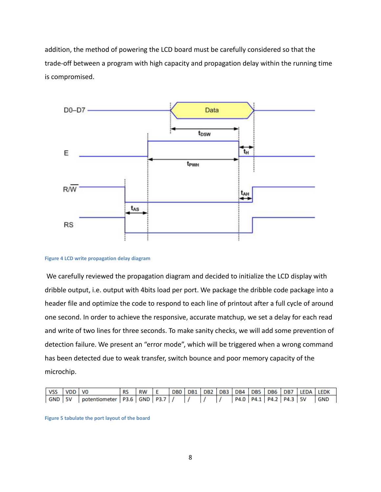addition, the method of powering the LCD board must be carefully considered so that the trade-off between a program with high capacity and propagation delay within the running time is compromised.



**Figure 4 LCD write propagation delay diagram**

We carefully reviewed the propagation diagram and decided to initialize the LCD display with dribble output, i.e. output with 4bits load per port. We package the dribble code package into a header file and optimize the code to respond to each line of printout after a full cycle of around one second. In order to achieve the responsive, accurate matchup, we set a delay for each read and write of two lines for three seconds. To make sanity checks, we will add some prevention of detection failure. We present an "error mode", which will be triggered when a wrong command has been detected due to weak transfer, switch bounce and poor memory capacity of the microchip.

| VSS VDD VO |                                                  | RS IRW IE |  |  |  |  |                                | DB0   DB1   DB2   DB3   DB4   DB5   DB6   DB7   LEDA   LEDK |            |
|------------|--------------------------------------------------|-----------|--|--|--|--|--------------------------------|-------------------------------------------------------------|------------|
|            | GND   5V   potentiometer   P3.6   GND   P3.7   / |           |  |  |  |  | P4.0   P4.1   P4.2   P4.3   5V |                                                             | <b>GND</b> |

**Figure 5 tabulate the port layout of the board**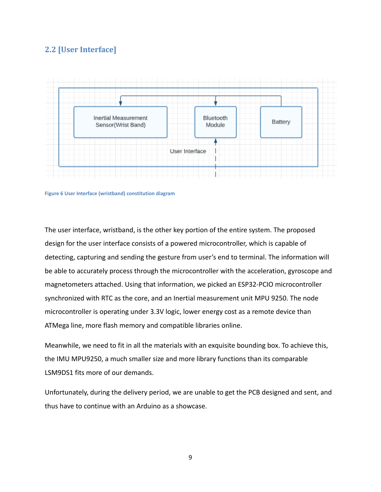# <span id="page-8-0"></span>**2.2 [User Interface]**





The user interface, wristband, is the other key portion of the entire system. The proposed design for the user interface consists of a powered microcontroller, which is capable of detecting, capturing and sending the gesture from user's end to terminal. The information will be able to accurately process through the microcontroller with the acceleration, gyroscope and magnetometers attached. Using that information, we picked an ESP32-PCIO microcontroller synchronized with RTC as the core, and an Inertial measurement unit MPU 9250. The node microcontroller is operating under 3.3V logic, lower energy cost as a remote device than ATMega line, more flash memory and compatible libraries online.

Meanwhile, we need to fit in all the materials with an exquisite bounding box. To achieve this, the IMU MPU9250, a much smaller size and more library functions than its comparable LSM9DS1 fits more of our demands.

Unfortunately, during the delivery period, we are unable to get the PCB designed and sent, and thus have to continue with an Arduino as a showcase.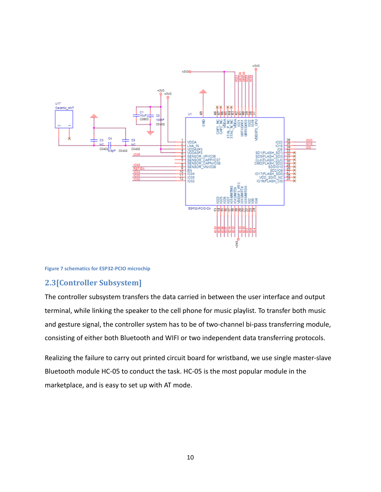

#### **Figure 7 schematics for ESP32-PCIO microchip**

#### <span id="page-9-0"></span>**2.3[Controller Subsystem]**

The controller subsystem transfers the data carried in between the user interface and output terminal, while linking the speaker to the cell phone for music playlist. To transfer both music and gesture signal, the controller system has to be of two-channel bi-pass transferring module, consisting of either both Bluetooth and WIFI or two independent data transferring protocols.

Realizing the failure to carry out printed circuit board for wristband, we use single master-slave Bluetooth module HC-05 to conduct the task. HC-05 is the most popular module in the marketplace, and is easy to set up with AT mode.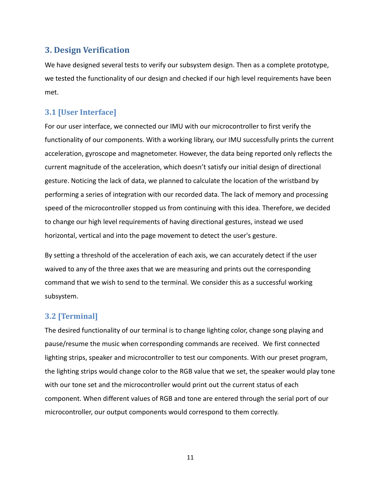# <span id="page-10-0"></span>**3. Design Verification**

We have designed several tests to verify our subsystem design. Then as a complete prototype, we tested the functionality of our design and checked if our high level requirements have been met.

## <span id="page-10-1"></span>**3.1 [User Interface]**

For our user interface, we connected our IMU with our microcontroller to first verify the functionality of our components. With a working library, our IMU successfully prints the current acceleration, gyroscope and magnetometer. However, the data being reported only reflects the current magnitude of the acceleration, which doesn't satisfy our initial design of directional gesture. Noticing the lack of data, we planned to calculate the location of the wristband by performing a series of integration with our recorded data. The lack of memory and processing speed of the microcontroller stopped us from continuing with this idea. Therefore, we decided to change our high level requirements of having directional gestures, instead we used horizontal, vertical and into the page movement to detect the user's gesture.

By setting a threshold of the acceleration of each axis, we can accurately detect if the user waived to any of the three axes that we are measuring and prints out the corresponding command that we wish to send to the terminal. We consider this as a successful working subsystem.

### **3.2 [Terminal]**

The desired functionality of our terminal is to change lighting color, change song playing and pause/resume the music when corresponding commands are received. We first connected lighting strips, speaker and microcontroller to test our components. With our preset program, the lighting strips would change color to the RGB value that we set, the speaker would play tone with our tone set and the microcontroller would print out the current status of each component. When different values of RGB and tone are entered through the serial port of our microcontroller, our output components would correspond to them correctly.

11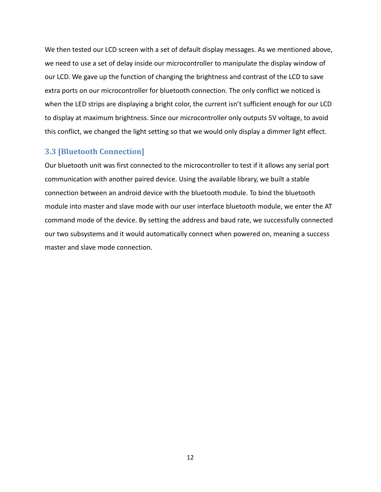We then tested our LCD screen with a set of default display messages. As we mentioned above, we need to use a set of delay inside our microcontroller to manipulate the display window of our LCD. We gave up the function of changing the brightness and contrast of the LCD to save extra ports on our microcontroller for bluetooth connection. The only conflict we noticed is when the LED strips are displaying a bright color, the current isn't sufficient enough for our LCD to display at maximum brightness. Since our microcontroller only outputs 5V voltage, to avoid this conflict, we changed the light setting so that we would only display a dimmer light effect.

#### **3.3 [Bluetooth Connection]**

Our bluetooth unit was first connected to the microcontroller to test if it allows any serial port communication with another paired device. Using the available library, we built a stable connection between an android device with the bluetooth module. To bind the bluetooth module into master and slave mode with our user interface bluetooth module, we enter the AT command mode of the device. By setting the address and baud rate, we successfully connected our two subsystems and it would automatically connect when powered on, meaning a success master and slave mode connection.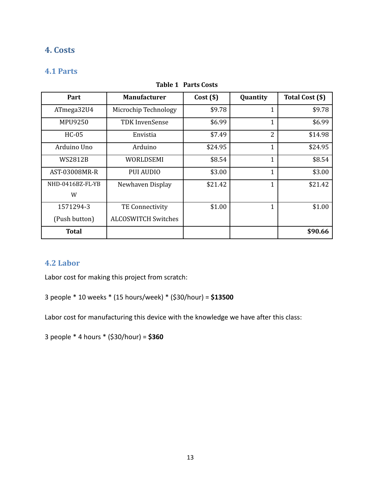# <span id="page-12-0"></span>**4. Costs**

# <span id="page-12-1"></span>**4.1 Parts**

| Part             | <b>Manufacturer</b>        | Cost(S) | Quantity       | Total Cost (\$) |
|------------------|----------------------------|---------|----------------|-----------------|
| ATmega32U4       | Microchip Technology       | \$9.78  | 1              | \$9.78          |
| MPU9250          | TDK InvenSense             | \$6.99  | 1              | \$6.99          |
| $HC-05$          | Envistia                   | \$7.49  | $\overline{2}$ | \$14.98         |
| Arduino Uno      | Arduino                    | \$24.95 | 1              | \$24.95         |
| WS2812B          | WORLDSEMI                  | \$8.54  | 1              | \$8.54          |
| AST-03008MR-R    | <b>PUI AUDIO</b>           | \$3.00  | 1              | \$3.00          |
| NHD-0416BZ-FL-YB | Newhaven Display           | \$21.42 | $\mathbf{1}$   | \$21.42         |
| W                |                            |         |                |                 |
| 1571294-3        | <b>TE Connectivity</b>     | \$1.00  | 1              | \$1.00          |
| (Push button)    | <b>ALCOSWITCH Switches</b> |         |                |                 |
| <b>Total</b>     |                            |         |                | \$90.66         |

#### **Table 1 Parts Costs**

### <span id="page-12-2"></span>**4.2 Labor**

Labor cost for making this project from scratch:

3 people \* 10 weeks \* (15 hours/week) \* (\$30/hour) = **\$13500**

Labor cost for manufacturing this device with the knowledge we have after this class:

3 people \* 4 hours \* (\$30/hour) = **\$360**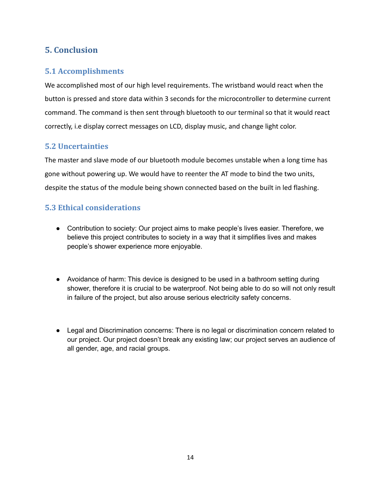# <span id="page-13-0"></span>**5. Conclusion**

# <span id="page-13-1"></span>**5.1 Accomplishments**

We accomplished most of our high level requirements. The wristband would react when the button is pressed and store data within 3 seconds for the microcontroller to determine current command. The command is then sent through bluetooth to our terminal so that it would react correctly, i.e display correct messages on LCD, display music, and change light color.

# <span id="page-13-2"></span>**5.2 Uncertainties**

The master and slave mode of our bluetooth module becomes unstable when a long time has gone without powering up. We would have to reenter the AT mode to bind the two units, despite the status of the module being shown connected based on the built in led flashing.

# <span id="page-13-3"></span>**5.3 Ethical considerations**

- Contribution to society: Our project aims to make people's lives easier. Therefore, we believe this project contributes to society in a way that it simplifies lives and makes people's shower experience more enjoyable.
- Avoidance of harm: This device is designed to be used in a bathroom setting during shower, therefore it is crucial to be waterproof. Not being able to do so will not only result in failure of the project, but also arouse serious electricity safety concerns.
- Legal and Discrimination concerns: There is no legal or discrimination concern related to our project. Our project doesn't break any existing law; our project serves an audience of all gender, age, and racial groups.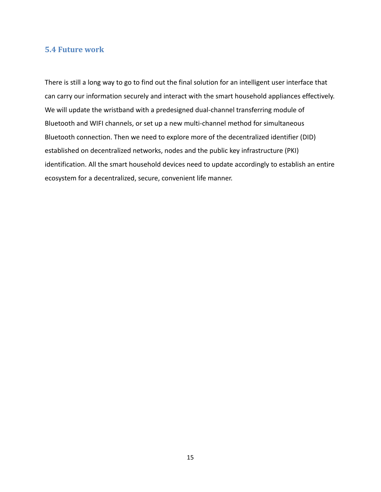#### <span id="page-14-0"></span>**5.4 Future work**

There is still a long way to go to find out the final solution for an intelligent user interface that can carry our information securely and interact with the smart household appliances effectively. We will update the wristband with a predesigned dual-channel transferring module of Bluetooth and WIFI channels, or set up a new multi-channel method for simultaneous Bluetooth connection. Then we need to explore more of the decentralized identifier (DID) established on decentralized networks, nodes and the public key infrastructure (PKI) identification. All the smart household devices need to update accordingly to establish an entire ecosystem for a decentralized, secure, convenient life manner.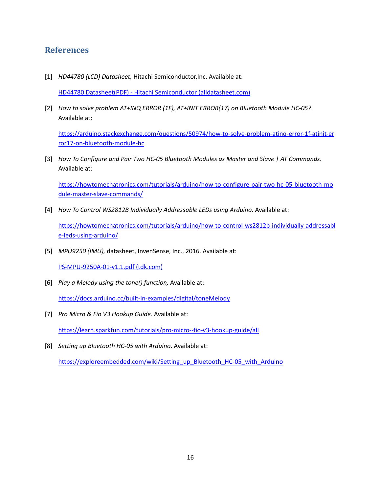# <span id="page-15-0"></span>**References**

[1] *HD44780 (LCD) Datasheet,* Hitachi Semiconductor,Inc. Available at:

HD44780 Datasheet(PDF) - Hitachi Semiconductor [\(alldatasheet.com\)](https://www.alldatasheet.com/datasheet-pdf/pdf/63673/HITACHI/HD44780.html)

[2] *How to solve problem AT+INQ ERROR (1F), AT+INIT ERROR(17) on Bluetooth Module HC-05?*. Available at:

[https://arduino.stackexchange.com/questions/50974/how-to-solve-problem-atinq-error-1f-atinit-er](https://invensense.tdk.com/wp-content/uploads/2015/02/PS-MPU-9250A-01-v1.1.pdf) [ror17-on-bluetooth-module-hc](https://invensense.tdk.com/wp-content/uploads/2015/02/PS-MPU-9250A-01-v1.1.pdf)

[3] *How To Configure and Pair Two HC-05 Bluetooth Modules as Master and Slave | AT Commands*. Available at:

[https://howtomechatronics.com/tutorials/arduino/how-to-configure-pair-two-hc-05-bluetooth-mo](https://invensense.tdk.com/wp-content/uploads/2015/02/PS-MPU-9250A-01-v1.1.pdf) [dule-master-slave-commands/](https://invensense.tdk.com/wp-content/uploads/2015/02/PS-MPU-9250A-01-v1.1.pdf)

[4] *How To Control WS2812B Individually Addressable LEDs using Arduino*. Available at:

[https://howtomechatronics.com/tutorials/arduino/how-to-control-ws2812b-individually-addressabl](https://invensense.tdk.com/wp-content/uploads/2015/02/PS-MPU-9250A-01-v1.1.pdf) [e-leds-using-arduino/](https://invensense.tdk.com/wp-content/uploads/2015/02/PS-MPU-9250A-01-v1.1.pdf)

[5] *MPU9250 (IMU),* datasheet, InvenSense, Inc., 2016. Available at:

[PS-MPU-9250A-01-v1.1.pdf](https://invensense.tdk.com/wp-content/uploads/2015/02/PS-MPU-9250A-01-v1.1.pdf) (tdk.com)

[6] *Play a Melody using the tone() function,* Available at:

<https://docs.arduino.cc/built-in-examples/digital/toneMelody>

- [7] *Pro Micro & Fio V3 Hookup Guide*. Available at: [https://learn.sparkfun.com/tutorials/pro-micro--fio-v3-hookup-guide/all](https://invensense.tdk.com/wp-content/uploads/2015/02/PS-MPU-9250A-01-v1.1.pdf)
- [8] *Setting up Bluetooth HC-05 with Arduino*. Available at:

[https://exploreembedded.com/wiki/Setting\\_up\\_Bluetooth\\_HC-05\\_with\\_Arduino](https://invensense.tdk.com/wp-content/uploads/2015/02/PS-MPU-9250A-01-v1.1.pdf)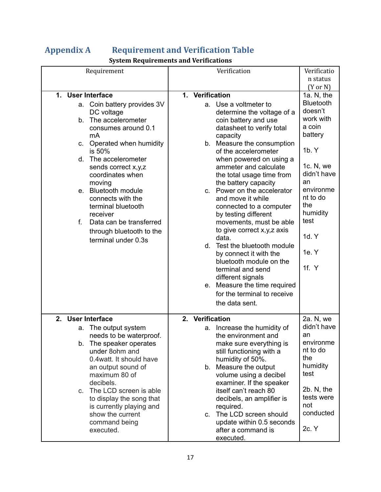# <span id="page-16-0"></span>**Appendix A Requirement and Verification Table**

# **System Requirements and Verifications**

| Requirement                                                                                                                                                                                                                                                                                                                                                                                                  | Verification                                                                                                                                                                                                                                                                                                                                                                                                                                                                                                                                                              | Verificatio                                                                                                                                                                                                            |
|--------------------------------------------------------------------------------------------------------------------------------------------------------------------------------------------------------------------------------------------------------------------------------------------------------------------------------------------------------------------------------------------------------------|---------------------------------------------------------------------------------------------------------------------------------------------------------------------------------------------------------------------------------------------------------------------------------------------------------------------------------------------------------------------------------------------------------------------------------------------------------------------------------------------------------------------------------------------------------------------------|------------------------------------------------------------------------------------------------------------------------------------------------------------------------------------------------------------------------|
|                                                                                                                                                                                                                                                                                                                                                                                                              |                                                                                                                                                                                                                                                                                                                                                                                                                                                                                                                                                                           | n status                                                                                                                                                                                                               |
|                                                                                                                                                                                                                                                                                                                                                                                                              |                                                                                                                                                                                                                                                                                                                                                                                                                                                                                                                                                                           |                                                                                                                                                                                                                        |
| 1. User Interface<br>a. Coin battery provides 3V<br>DC voltage<br>The accelerometer<br>b.<br>consumes around 0.1<br>mA<br>c. Operated when humidity<br>is 50%<br>d. The accelerometer<br>sends correct x,y,z<br>coordinates when<br>moving<br>e. Bluetooth module<br>connects with the<br>terminal bluetooth<br>receiver<br>f.<br>Data can be transferred<br>through bluetooth to the<br>terminal under 0.3s | 1. Verification<br>a. Use a voltmeter to<br>determine the voltage of a<br>coin battery and use<br>datasheet to verify total<br>capacity<br>b. Measure the consumption<br>of the accelerometer<br>when powered on using a<br>ammeter and calculate<br>the total usage time from<br>the battery capacity<br>Power on the accelerator<br>C.<br>and move it while<br>connected to a computer<br>by testing different<br>movements, must be able<br>to give correct x, y, z axis<br>data.<br>d. Test the bluetooth module<br>by connect it with the<br>bluetooth module on the | $(Y \text{ or } N)$<br>1a. $N$ , the<br><b>Bluetooth</b><br>doesn't<br>work with<br>a coin<br>battery<br>1b. Y<br>1c. N, we<br>didn't have<br>an<br>environme<br>nt to do<br>the<br>humidity<br>test<br>1d. Y<br>1e. Y |
|                                                                                                                                                                                                                                                                                                                                                                                                              | terminal and send<br>different signals<br>Measure the time required<br>e.<br>for the terminal to receive<br>the data sent.                                                                                                                                                                                                                                                                                                                                                                                                                                                | 1f. $Y$                                                                                                                                                                                                                |
| 2.<br><b>User Interface</b>                                                                                                                                                                                                                                                                                                                                                                                  | 2. Verification                                                                                                                                                                                                                                                                                                                                                                                                                                                                                                                                                           | 2a. N, we                                                                                                                                                                                                              |
| a. The output system<br>needs to be waterproof.<br>The speaker operates<br>b.<br>under 8ohm and<br>0.4 watt. It should have<br>an output sound of<br>maximum 80 of<br>decibels.<br>c. The LCD screen is able<br>to display the song that<br>is currently playing and<br>show the current<br>command being<br>executed.                                                                                       | Increase the humidity of<br>a.<br>the environment and<br>make sure everything is<br>still functioning with a<br>humidity of 50%.<br>Measure the output<br>b.<br>volume using a decibel<br>examiner. If the speaker<br>itself can't reach 80<br>decibels, an amplifier is<br>required.<br>The LCD screen should<br>C.<br>update within 0.5 seconds<br>after a command is                                                                                                                                                                                                   | didn't have<br>an<br>environme<br>nt to do<br>the<br>humidity<br>test<br>$2b. N,$ the<br>tests were<br>not<br>conducted<br>2c. Y                                                                                       |